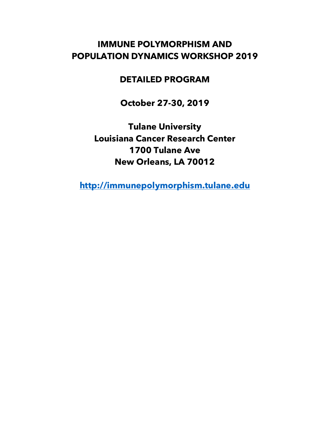# **IMMUNE POLYMORPHISM AND POPULATION DYNAMICS WORKSHOP 2019**

#### **DETAILED PROGRAM**

**October 27-30, 2019**

**Tulane University Louisiana Cancer Research Center 1700 Tulane Ave New Orleans, LA 70012**

**http://immunepolymorphism.tulane.edu**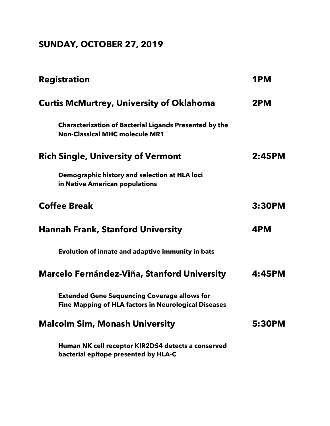# **SUNDAY, OCTOBER 27, 2019**

| <b>Registration</b>                                                                                                | 1PM    |
|--------------------------------------------------------------------------------------------------------------------|--------|
| <b>Curtis McMurtrey, University of Oklahoma</b>                                                                    | 2PM    |
| <b>Characterization of Bacterial Ligands Presented by the</b><br><b>Non-Classical MHC molecule MR1</b>             |        |
| <b>Rich Single, University of Vermont</b>                                                                          | 2:45PM |
| Demographic history and selection at HLA loci<br>in Native American populations                                    |        |
| <b>Coffee Break</b>                                                                                                | 3:30PM |
| <b>Hannah Frank, Stanford University</b>                                                                           | 4PM    |
| Evolution of innate and adaptive immunity in bats                                                                  |        |
| <b>Marcelo Fernández-Viña, Stanford University</b>                                                                 | 4:45PM |
| <b>Extended Gene Sequencing Coverage allows for</b><br><b>Fine Mapping of HLA factors in Neurological Diseases</b> |        |
| <b>Malcolm Sim, Monash University</b>                                                                              | 5:30PM |
| Human NK cell receptor KIR2DS4 detects a conserved<br>bacterial epitope presented by HLA-C                         |        |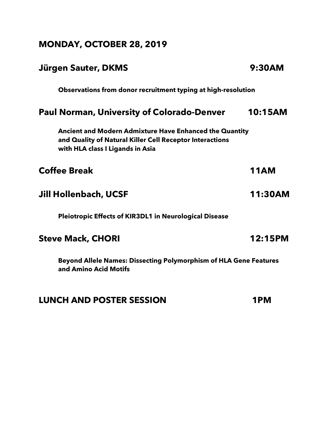# **MONDAY, OCTOBER 28, 2019**

| Jürgen Sauter, DKMS                                                                                                                                            | 9:30AM         |
|----------------------------------------------------------------------------------------------------------------------------------------------------------------|----------------|
| Observations from donor recruitment typing at high-resolution                                                                                                  |                |
| <b>Paul Norman, University of Colorado-Denver</b>                                                                                                              | <b>10:15AM</b> |
| <b>Ancient and Modern Admixture Have Enhanced the Quantity</b><br>and Quality of Natural Killer Cell Receptor Interactions<br>with HLA class I Ligands in Asia |                |
| <b>Coffee Break</b>                                                                                                                                            | <b>11AM</b>    |
| Jill Hollenbach, UCSF                                                                                                                                          | 11:30AM        |
| <b>Pleiotropic Effects of KIR3DL1 in Neurological Disease</b>                                                                                                  |                |
| <b>Steve Mack, CHORI</b>                                                                                                                                       | 12:15PM        |
| <b>Beyond Allele Names: Dissecting Polymorphism of HLA Gene Features</b><br>and Amino Acid Motifs                                                              |                |

#### **LUNCH AND POSTER SESSION 1PM**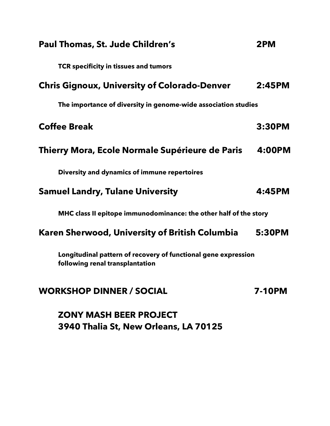| Paul Thomas, St. Jude Children's                                                                  | 2PM           |
|---------------------------------------------------------------------------------------------------|---------------|
| TCR specificity in tissues and tumors                                                             |               |
| <b>Chris Gignoux, University of Colorado-Denver</b>                                               | 2:45PM        |
| The importance of diversity in genome-wide association studies                                    |               |
| <b>Coffee Break</b>                                                                               | 3:30PM        |
| Thierry Mora, Ecole Normale Supérieure de Paris                                                   | 4:00PM        |
| Diversity and dynamics of immune repertoires                                                      |               |
| <b>Samuel Landry, Tulane University</b>                                                           | 4:45PM        |
| MHC class II epitope immunodominance: the other half of the story                                 |               |
| Karen Sherwood, University of British Columbia                                                    | 5:30PM        |
| Longitudinal pattern of recovery of functional gene expression<br>following renal transplantation |               |
| <b>WORKSHOP DINNER / SOCIAL</b>                                                                   | <b>7-10PM</b> |
| <b>ZONY MASH BEER PROJECT</b>                                                                     |               |
| 3940 Thalia St, New Orleans, LA 70125                                                             |               |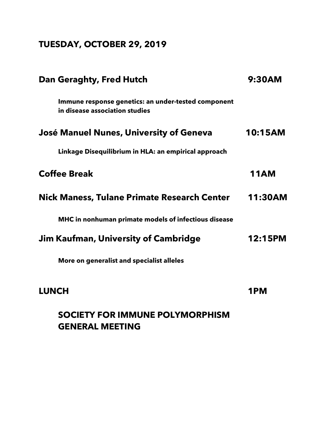# **TUESDAY, OCTOBER 29, 2019**

| Dan Geraghty, Fred Hutch                                                              | 9:30AM         |
|---------------------------------------------------------------------------------------|----------------|
| Immune response genetics: an under-tested component<br>in disease association studies |                |
| José Manuel Nunes, University of Geneva                                               | 10:15AM        |
| Linkage Disequilibrium in HLA: an empirical approach                                  |                |
| <b>Coffee Break</b>                                                                   | <b>11AM</b>    |
| <b>Nick Maness, Tulane Primate Research Center</b>                                    | 11:30AM        |
| MHC in nonhuman primate models of infectious disease                                  |                |
| Jim Kaufman, University of Cambridge                                                  | <b>12:15PM</b> |
| More on generalist and specialist alleles                                             |                |
| <b>LUNCH</b>                                                                          | 1 PM           |

## **SOCIETY FOR IMMUNE POLYMORPHISM GENERAL MEETING**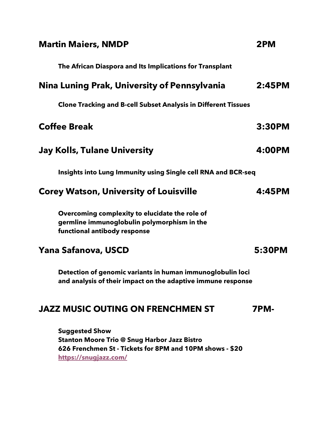| <b>Martin Maiers, NMDP</b>                                                                                                                                        | 2PM         |
|-------------------------------------------------------------------------------------------------------------------------------------------------------------------|-------------|
| The African Diaspora and Its Implications for Transplant                                                                                                          |             |
| Nina Luning Prak, University of Pennsylvania                                                                                                                      | 2:45PM      |
| <b>Clone Tracking and B-cell Subset Analysis in Different Tissues</b>                                                                                             |             |
| <b>Coffee Break</b>                                                                                                                                               | 3:30PM      |
| <b>Jay Kolls, Tulane University</b>                                                                                                                               | 4:00PM      |
| Insights into Lung Immunity using Single cell RNA and BCR-seq                                                                                                     |             |
| <b>Corey Watson, University of Louisville</b>                                                                                                                     | 4:45PM      |
| Overcoming complexity to elucidate the role of<br>germline immunoglobulin polymorphism in the<br>functional antibody response                                     |             |
| Yana Safanova, USCD                                                                                                                                               | 5:30PM      |
| Detection of genomic variants in human immunoglobulin loci<br>and analysis of their impact on the adaptive immune response                                        |             |
| <b>JAZZ MUSIC OUTING ON FRENCHMEN ST</b>                                                                                                                          | <b>7PM-</b> |
| <b>Suggested Show</b><br><b>Stanton Moore Trio @ Snug Harbor Jazz Bistro</b><br>626 Frenchmen St - Tickets for 8PM and 10PM shows - \$20<br>https://snugjazz.com/ |             |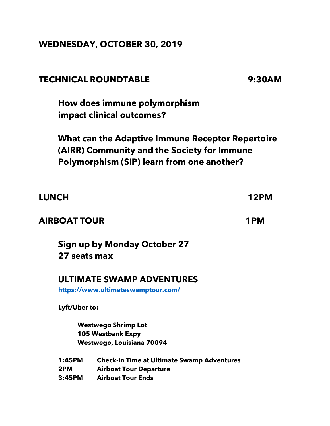#### **WEDNESDAY, OCTOBER 30, 2019**

### **TECHNICAL ROUNDTABLE 9:30AM**

**How does immune polymorphism impact clinical outcomes?**

**What can the Adaptive Immune Receptor Repertoire (AIRR) Community and the Society for Immune Polymorphism (SIP) learn from one another?**

| <b>LUNCH</b>        |                                                   | <b>12PM</b> |
|---------------------|---------------------------------------------------|-------------|
| <b>AIRBOAT TOUR</b> |                                                   | 1PM         |
| 27 seats max        | Sign up by Monday October 27                      |             |
|                     | ULTIMATE SWAMP ADVENTURES                         |             |
|                     | https://www.ultimateswamptour.com/                |             |
| Lyft/Uber to:       |                                                   |             |
|                     | <b>Westwego Shrimp Lot</b>                        |             |
|                     | 105 Westbank Expy                                 |             |
|                     | Westwego, Louisiana 70094                         |             |
| 1:45PM              | <b>Check-in Time at Ultimate Swamp Adventures</b> |             |
| 2PM                 | <b>Airboat Tour Departure</b>                     |             |
| 3:45PM              | <b>Airboat Tour Ends</b>                          |             |
|                     |                                                   |             |